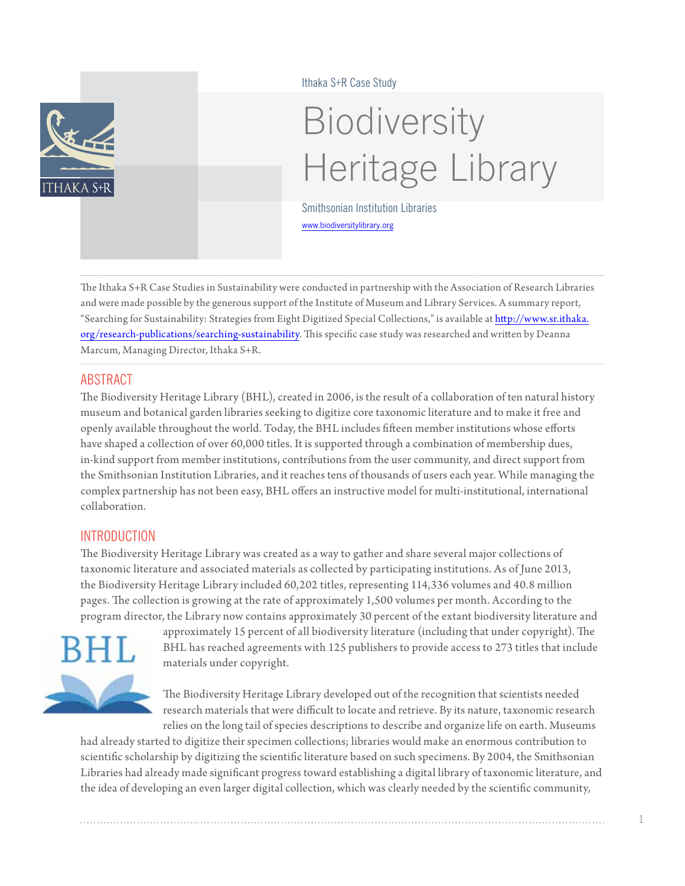

#### Ithaka S+R Case Study

# Biodiversity Heritage Library

Smithsonian Institution Libraries <www.biodiversitylibrary.org>

The Ithaka S+R Case Studies in Sustainability were conducted in partnership with the Association of Research Libraries and were made possible by the generous support of the Institute of Museum and Library Services. A summary report, "Searching for Sustainability: Strategies from Eight Digitized Special Collections," is available at [http://www.sr.ithaka.](http://www.sr.ithaka.org/research-publications/searching-sustainability) [org/research-publications/searching-](http://www.sr.ithaka.org/research-publications/searching-sustainability)sustainability. This specific case study was researched and written by Deanna Marcum, Managing Director, Ithaka S+R.

## ABSTRACT

The Biodiversity Heritage Library (BHL), created in 2006, is the result of a collaboration of ten natural history museum and botanical garden libraries seeking to digitize core taxonomic literature and to make it free and openly available throughout the world. Today, the BHL includes fifteen member institutions whose efforts have shaped a collection of over 60,000 titles. It is supported through a combination of membership dues, in-kind support from member institutions, contributions from the user community, and direct support from the Smithsonian Institution Libraries, and it reaches tens of thousands of users each year. While managing the complex partnership has not been easy, BHL offers an instructive model for multi-institutional, international collaboration.

## **INTRODUCTION**

The Biodiversity Heritage Library was created as a way to gather and share several major collections of taxonomic literature and associated materials as collected by participating institutions. As of June 2013, the Biodiversity Heritage Library included 60,202 titles, representing 114,336 volumes and 40.8 million pages. The collection is growing at the rate of approximately 1,500 volumes per month. According to the program director, the Library now contains approximately 30 percent of the extant biodiversity literature and



approximately 15 percent of all biodiversity literature (including that under copyright). The BHL has reached agreements with 125 publishers to provide access to 273 titles that include materials under copyright.

The Biodiversity Heritage Library developed out of the recognition that scientists needed research materials that were difficult to locate and retrieve. By its nature, taxonomic research relies on the long tail of species descriptions to describe and organize life on earth. Museums

had already started to digitize their specimen collections; libraries would make an enormous contribution to scientific scholarship by digitizing the scientific literature based on such specimens. By 2004, the Smithsonian Libraries had already made significant progress toward establishing a digital library of taxonomic literature, and the idea of developing an even larger digital collection, which was clearly needed by the scientific community,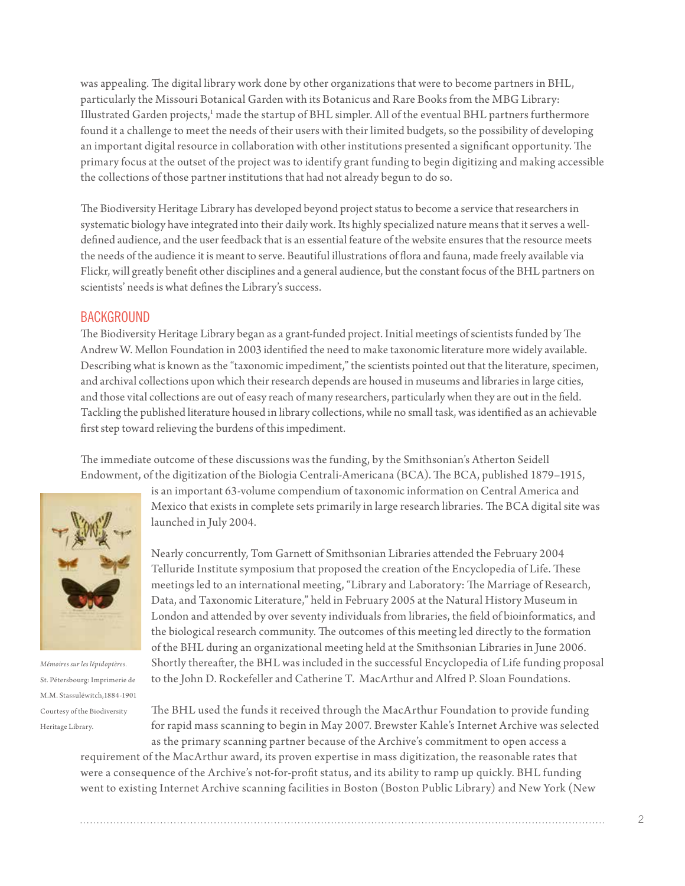was appealing. The digital library work done by other organizations that were to become partners in BHL, particularly the Missouri Botanical Garden with its Botanicus and Rare Books from the MBG Library: Illustrated Garden projects,<sup>[1](#page-8-0)</sup> made the startup of BHL simpler. All of the eventual BHL partners furthermore found it a challenge to meet the needs of their users with their limited budgets, so the possibility of developing an important digital resource in collaboration with other institutions presented a significant opportunity. The primary focus at the outset of the project was to identify grant funding to begin digitizing and making accessible the collections of those partner institutions that had not already begun to do so.

The Biodiversity Heritage Library has developed beyond project status to become a service that researchers in systematic biology have integrated into their daily work. Its highly specialized nature means that it serves a welldefined audience, and the user feedback that is an essential feature of the website ensures that the resource meets the needs of the audience it is meant to serve. Beautiful illustrations of flora and fauna, made freely available via Flickr, will greatly benefit other disciplines and a general audience, but the constant focus of the BHL partners on scientists' needs is what defines the Library's success.

#### **BACKGROUND**

The Biodiversity Heritage Library began as a grant-funded project. Initial meetings of scientists funded by The Andrew W. Mellon Foundation in 2003 identified the need to make taxonomic literature more widely available. Describing what is known as the "taxonomic impediment," the scientists pointed out that the literature, specimen, and archival collections upon which their research depends are housed in museums and libraries in large cities, and those vital collections are out of easy reach of many researchers, particularly when they are out in the field. Tackling the published literature housed in library collections, while no small task, was identified as an achievable first step toward relieving the burdens of this impediment.

The immediate outcome of these discussions was the funding, by the Smithsonian's Atherton Seidell Endowment, of the digitization of the Biologia Centrali-Americana (BCA). The BCA, published 1879–1915,



*Mémoires sur les lépidoptères.*  St. Pétersbourg: Imprimerie de M.M. Stassuléwitch,1884-1901 Courtesy of the Biodiversity Heritage Library.

is an important 63-volume compendium of taxonomic information on Central America and Mexico that exists in complete sets primarily in large research libraries. The BCA digital site was launched in July 2004.

Nearly concurrently, Tom Garnett of Smithsonian Libraries attended the February 2004 Telluride Institute symposium that proposed the creation of the Encyclopedia of Life. These meetings led to an international meeting, "Library and Laboratory: The Marriage of Research, Data, and Taxonomic Literature," held in February 2005 at the Natural History Museum in London and attended by over seventy individuals from libraries, the field of bioinformatics, and the biological research community. The outcomes of this meeting led directly to the formation of the BHL during an organizational meeting held at the Smithsonian Libraries in June 2006. Shortly thereafter, the BHL was included in the successful Encyclopedia of Life funding proposal to the John D. Rockefeller and Catherine T. MacArthur and Alfred P. Sloan Foundations.

The BHL used the funds it received through the MacArthur Foundation to provide funding for rapid mass scanning to begin in May 2007. Brewster Kahle's Internet Archive was selected as the primary scanning partner because of the Archive's commitment to open access a

requirement of the MacArthur award, its proven expertise in mass digitization, the reasonable rates that were a consequence of the Archive's not-for-profit status, and its ability to ramp up quickly. BHL funding went to existing Internet Archive scanning facilities in Boston (Boston Public Library) and New York (New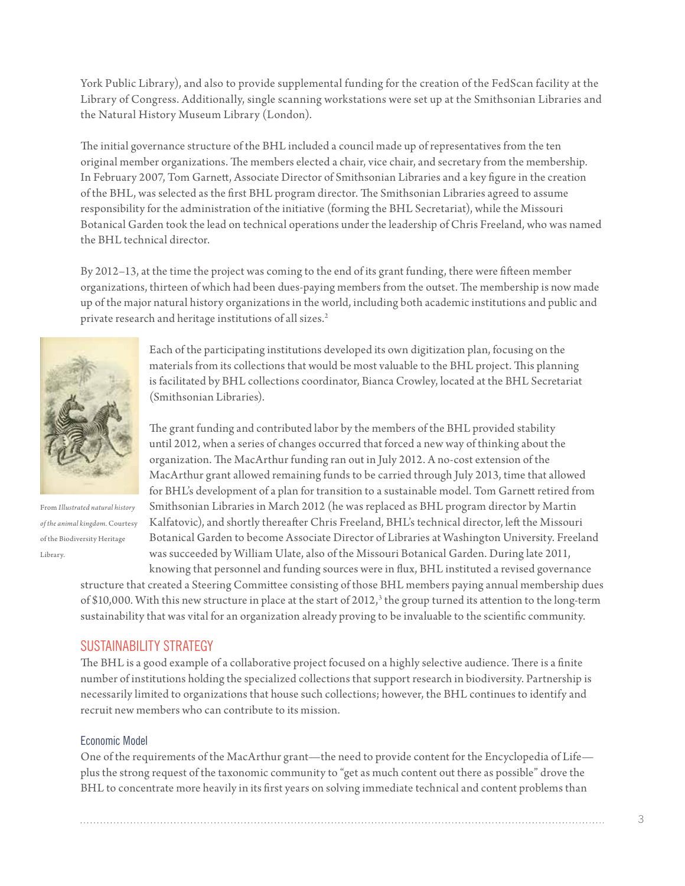York Public Library), and also to provide supplemental funding for the creation of the FedScan facility at the Library of Congress. Additionally, single scanning workstations were set up at the Smithsonian Libraries and the Natural History Museum Library (London).

The initial governance structure of the BHL included a council made up of representatives from the ten original member organizations. The members elected a chair, vice chair, and secretary from the membership. In February 2007, Tom Garnett, Associate Director of Smithsonian Libraries and a key figure in the creation of the BHL, was selected as the first BHL program director. The Smithsonian Libraries agreed to assume responsibility for the administration of the initiative (forming the BHL Secretariat), while the Missouri Botanical Garden took the lead on technical operations under the leadership of Chris Freeland, who was named the BHL technical director.

By 2012–13, at the time the project was coming to the end of its grant funding, there were fifteen member organizations, thirteen of which had been dues-paying members from the outset. The membership is now made up of the major natural history organizations in the world, including both academic institutions and public and private research and heritage institutions of all sizes.<sup>2</sup>



From *Illustrated natural history of the animal kingdom.* Courtesy of the Biodiversity Heritage Library.

Each of the participating institutions developed its own digitization plan, focusing on the materials from its collections that would be most valuable to the BHL project. This planning is facilitated by BHL collections coordinator, Bianca Crowley, located at the BHL Secretariat (Smithsonian Libraries).

The grant funding and contributed labor by the members of the BHL provided stability until 2012, when a series of changes occurred that forced a new way of thinking about the organization. The MacArthur funding ran out in July 2012. A no-cost extension of the MacArthur grant allowed remaining funds to be carried through July 2013, time that allowed for BHL's development of a plan for transition to a sustainable model. Tom Garnett retired from Smithsonian Libraries in March 2012 (he was replaced as BHL program director by Martin Kalfatovic), and shortly thereafter Chris Freeland, BHL's technical director, left the Missouri Botanical Garden to become Associate Director of Libraries at Washington University. Freeland was succeeded by William Ulate, also of the Missouri Botanical Garden. During late 2011, knowing that personnel and funding sources were in flux, BHL instituted a revised governance

structure that created a Steering Committee consisting of those BHL members paying annual membership dues of \$10,000. With this new structure in place at the start of 2012, $^3$  $^3$  the group turned its attention to the long-term sustainability that was vital for an organization already proving to be invaluable to the scientific community.

### SUSTAINABILITY STRATEGY

The BHL is a good example of a collaborative project focused on a highly selective audience. There is a finite number of institutions holding the specialized collections that support research in biodiversity. Partnership is necessarily limited to organizations that house such collections; however, the BHL continues to identify and recruit new members who can contribute to its mission.

#### Economic Model

One of the requirements of the MacArthur grant—the need to provide content for the Encyclopedia of Life plus the strong request of the taxonomic community to "get as much content out there as possible" drove the BHL to concentrate more heavily in its first years on solving immediate technical and content problems than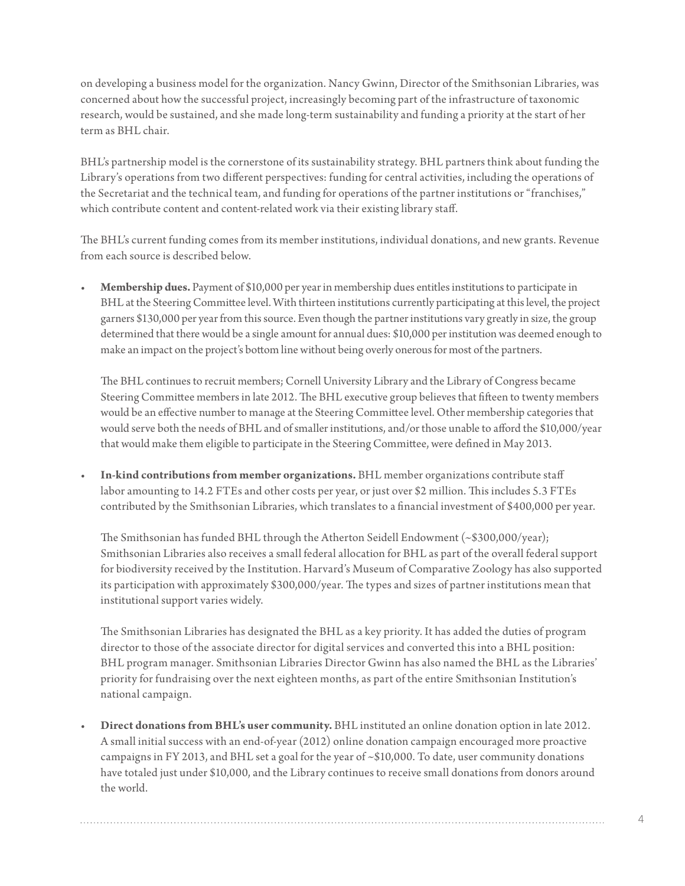on developing a business model for the organization. Nancy Gwinn, Director of the Smithsonian Libraries, was concerned about how the successful project, increasingly becoming part of the infrastructure of taxonomic research, would be sustained, and she made long-term sustainability and funding a priority at the start of her term as BHL chair.

BHL's partnership model is the cornerstone of its sustainability strategy. BHL partners think about funding the Library's operations from two different perspectives: funding for central activities, including the operations of the Secretariat and the technical team, and funding for operations of the partner institutions or "franchises," which contribute content and content-related work via their existing library staff.

The BHL's current funding comes from its member institutions, individual donations, and new grants. Revenue from each source is described below.

**Membership dues.** Payment of \$10,000 per year in membership dues entitles institutions to participate in BHL at the Steering Committee level. With thirteen institutions currently participating at this level, the project garners \$130,000 per year from this source. Even though the partner institutions vary greatly in size, the group determined that there would be a single amount for annual dues: \$10,000 per institution was deemed enough to make an impact on the project's bottom line without being overly onerous for most of the partners.

The BHL continues to recruit members; Cornell University Library and the Library of Congress became Steering Committee members in late 2012. The BHL executive group believes that fifteen to twenty members would be an effective number to manage at the Steering Committee level. Other membership categories that would serve both the needs of BHL and of smaller institutions, and/or those unable to afford the \$10,000/year that would make them eligible to participate in the Steering Committee, were defined in May 2013.

In-kind contributions from member organizations. BHL member organizations contribute staff labor amounting to 14.2 FTEs and other costs per year, or just over \$2 million. This includes 5.3 FTEs contributed by the Smithsonian Libraries, which translates to a financial investment of \$400,000 per year.

The Smithsonian has funded BHL through the Atherton Seidell Endowment  $({\sim} $300,000/year)$ ; Smithsonian Libraries also receives a small federal allocation for BHL as part of the overall federal support for biodiversity received by the Institution. Harvard's Museum of Comparative Zoology has also supported its participation with approximately \$300,000/year. The types and sizes of partner institutions mean that institutional support varies widely.

The Smithsonian Libraries has designated the BHL as a key priority. It has added the duties of program director to those of the associate director for digital services and converted this into a BHL position: BHL program manager. Smithsonian Libraries Director Gwinn has also named the BHL as the Libraries' priority for fundraising over the next eighteen months, as part of the entire Smithsonian Institution's national campaign.

**Direct donations from BHL's user community.** BHL instituted an online donation option in late 2012. A small initial success with an end-of-year (2012) online donation campaign encouraged more proactive campaigns in FY 2013, and BHL set a goal for the year of ~\$10,000. To date, user community donations have totaled just under \$10,000, and the Library continues to receive small donations from donors around the world.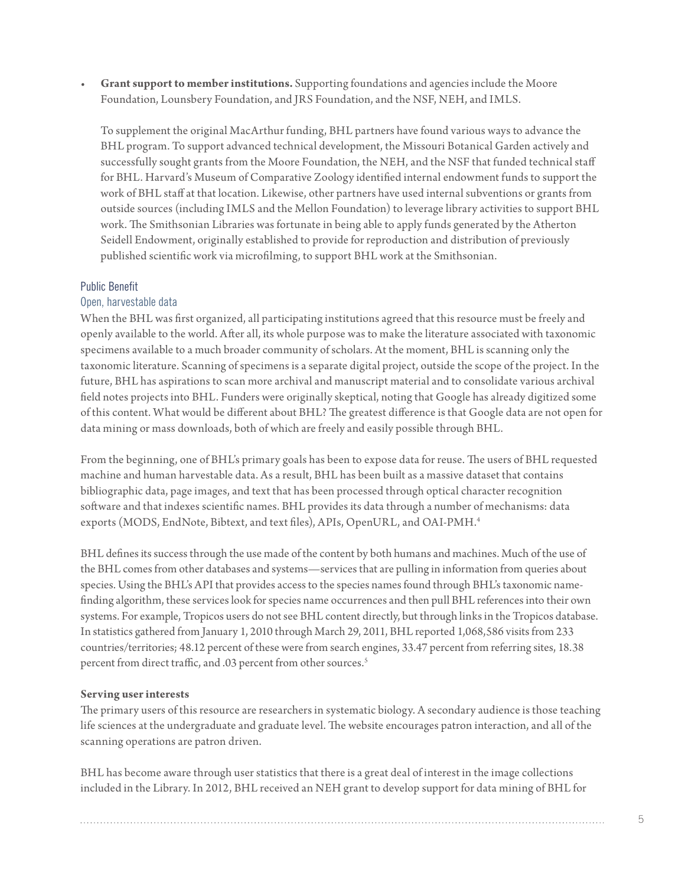Grant support to member institutions. Supporting foundations and agencies include the Moore Foundation, Lounsbery Foundation, and JRS Foundation, and the NSF, NEH, and IMLS.

To supplement the original MacArthur funding, BHL partners have found various ways to advance the BHL program. To support advanced technical development, the Missouri Botanical Garden actively and successfully sought grants from the Moore Foundation, the NEH, and the NSF that funded technical staff for BHL. Harvard's Museum of Comparative Zoology identified internal endowment funds to support the work of BHL staff at that location. Likewise, other partners have used internal subventions or grants from outside sources (including IMLS and the Mellon Foundation) to leverage library activities to support BHL work. The Smithsonian Libraries was fortunate in being able to apply funds generated by the Atherton Seidell Endowment, originally established to provide for reproduction and distribution of previously published scientific work via microfilming, to support BHL work at the Smithsonian.

#### Public Benefit

#### Open, harvestable data

When the BHL was first organized, all participating institutions agreed that this resource must be freely and openly available to the world. After all, its whole purpose was to make the literature associated with taxonomic specimens available to a much broader community of scholars. At the moment, BHL is scanning only the taxonomic literature. Scanning of specimens is a separate digital project, outside the scope of the project. In the future, BHL has aspirations to scan more archival and manuscript material and to consolidate various archival field notes projects into BHL. Funders were originally skeptical, noting that Google has already digitized some of this content. What would be different about BHL? The greatest difference is that Google data are not open for data mining or mass downloads, both of which are freely and easily possible through BHL.

From the beginning, one of BHL's primary goals has been to expose data for reuse. The users of BHL requested machine and human harvestable data. As a result, BHL has been built as a massive dataset that contains bibliographic data, page images, and text that has been processed through optical character recognition software and that indexes scientific names. BHL provides its data through a number of mechanisms: data exports (MODS, EndNote, Bibtext, and text files), APIs, OpenURL, and OAI-PMH.<sup>4</sup>

BHL defines its success through the use made of the content by both humans and machines. Much of the use of the BHL comes from other databases and systems—services that are pulling in information from queries about species. Using the BHL's API that provides access to the species names found through BHL's taxonomic namefinding algorithm, these services look for species name occurrences and then pull BHL references into their own systems. For example, Tropicos users do not see BHL content directly, but through links in the Tropicos database. In statistics gathered from January 1, 2010 through March 29, 2011, BHL reported 1,068,586 visits from 233 countries/territories; 48.12 percent of these were from search engines, 33.47 percent from referring sites, 18.38 percent from direct traffic, and .03 percent from other sources.<sup>[5](#page-8-4)</sup>

#### **Serving user interests**

The primary users of this resource are researchers in systematic biology. A secondary audience is those teaching life sciences at the undergraduate and graduate level. The website encourages patron interaction, and all of the scanning operations are patron driven.

BHL has become aware through user statistics that there is a great deal of interest in the image collections included in the Library. In 2012, BHL received an NEH grant to develop support for data mining of BHL for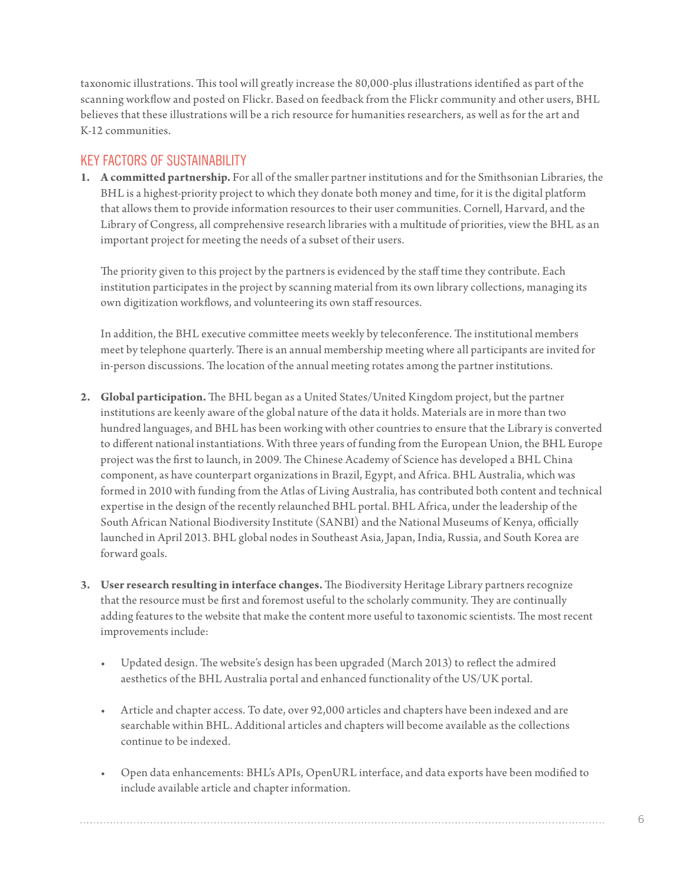taxonomic illustrations. This tool will greatly increase the 80,000-plus illustrations identified as part of the scanning workflow and posted on Flickr. Based on feedback from the Flickr community and other users, BHL believes that these illustrations will be a rich resource for humanities researchers, as well as for the art and K-12 communities.

# KEY FACTORS OF SUSTAINABILITY

**1. A committed partnership.** For all of the smaller partner institutions and for the Smithsonian Libraries, the BHL is a highest-priority project to which they donate both money and time, for it is the digital platform that allows them to provide information resources to their user communities. Cornell, Harvard, and the Library of Congress, all comprehensive research libraries with a multitude of priorities, view the BHL as an important project for meeting the needs of a subset of their users.

The priority given to this project by the partners is evidenced by the staff time they contribute. Each institution participates in the project by scanning material from its own library collections, managing its own digitization workflows, and volunteering its own staff resources.

In addition, the BHL executive committee meets weekly by teleconference. The institutional members meet by telephone quarterly. There is an annual membership meeting where all participants are invited for in-person discussions. The location of the annual meeting rotates among the partner institutions.

- **2. Global participation.** The BHL began as a United States/United Kingdom project, but the partner institutions are keenly aware of the global nature of the data it holds. Materials are in more than two hundred languages, and BHL has been working with other countries to ensure that the Library is converted to different national instantiations. With three years of funding from the European Union, the BHL Europe project was the first to launch, in 2009. The Chinese Academy of Science has developed a BHL China component, as have counterpart organizations in Brazil, Egypt, and Africa. BHL Australia, which was formed in 2010 with funding from the Atlas of Living Australia, has contributed both content and technical expertise in the design of the recently relaunched BHL portal. BHL Africa, under the leadership of the South African National Biodiversity Institute (SANBI) and the National Museums of Kenya, officially launched in April 2013. BHL global nodes in Southeast Asia, Japan, India, Russia, and South Korea are forward goals.
- **3. User research resulting in interface changes.** The Biodiversity Heritage Library partners recognize that the resource must be first and foremost useful to the scholarly community. They are continually adding features to the website that make the content more useful to taxonomic scientists. The most recent improvements include:
	- Updated design. The website's design has been upgraded (March 2013) to reflect the admired aesthetics of the BHL Australia portal and enhanced functionality of the US/UK portal.
	- Article and chapter access. To date, over 92,000 articles and chapters have been indexed and are searchable within BHL. Additional articles and chapters will become available as the collections continue to be indexed.
	- • Open data enhancements: BHL's APIs, OpenURL interface, and data exports have been modified to include available article and chapter information.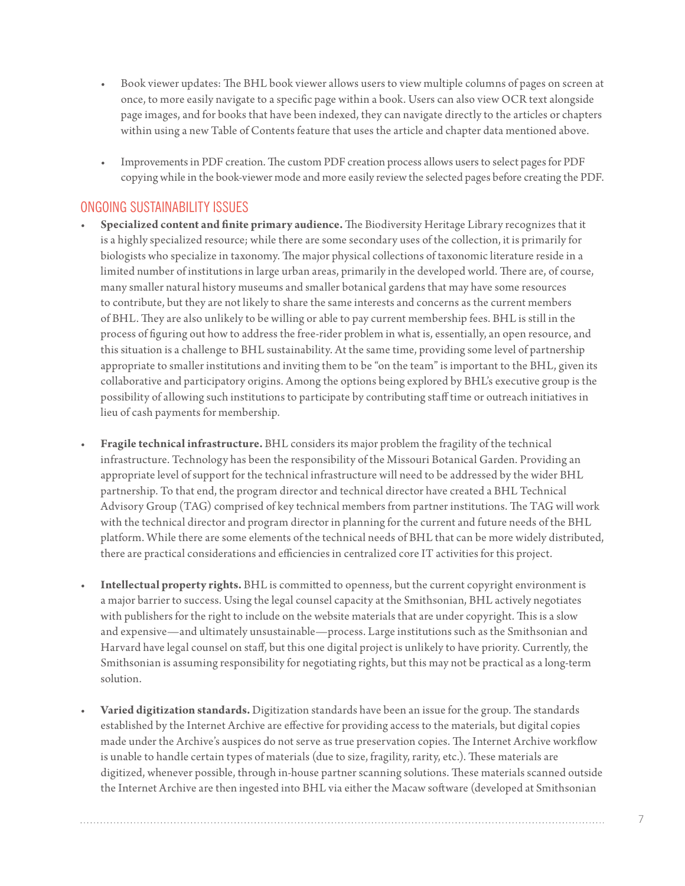- Book viewer updates: The BHL book viewer allows users to view multiple columns of pages on screen at once, to more easily navigate to a specific page within a book. Users can also view OCR text alongside page images, and for books that have been indexed, they can navigate directly to the articles or chapters within using a new Table of Contents feature that uses the article and chapter data mentioned above.
- Improvements in PDF creation. The custom PDF creation process allows users to select pages for PDF copying while in the book-viewer mode and more easily review the selected pages before creating the PDF.

# ONGOING SUSTAINABILITY ISSUES

- • **Specialized content and finite primary audience.** The Biodiversity Heritage Library recognizes that it is a highly specialized resource; while there are some secondary uses of the collection, it is primarily for biologists who specialize in taxonomy. The major physical collections of taxonomic literature reside in a limited number of institutions in large urban areas, primarily in the developed world. There are, of course, many smaller natural history museums and smaller botanical gardens that may have some resources to contribute, but they are not likely to share the same interests and concerns as the current members of BHL. They are also unlikely to be willing or able to pay current membership fees. BHL is still in the process of figuring out how to address the free-rider problem in what is, essentially, an open resource, and this situation is a challenge to BHL sustainability. At the same time, providing some level of partnership appropriate to smaller institutions and inviting them to be "on the team" is important to the BHL, given its collaborative and participatory origins. Among the options being explored by BHL's executive group is the possibility of allowing such institutions to participate by contributing staff time or outreach initiatives in lieu of cash payments for membership.
- • **Fragile technical infrastructure.** BHL considers its major problem the fragility of the technical infrastructure. Technology has been the responsibility of the Missouri Botanical Garden. Providing an appropriate level of support for the technical infrastructure will need to be addressed by the wider BHL partnership. To that end, the program director and technical director have created a BHL Technical Advisory Group (TAG) comprised of key technical members from partner institutions. The TAG will work with the technical director and program director in planning for the current and future needs of the BHL platform. While there are some elements of the technical needs of BHL that can be more widely distributed, there are practical considerations and efficiencies in centralized core IT activities for this project.
- Intellectual property rights. BHL is committed to openness, but the current copyright environment is a major barrier to success. Using the legal counsel capacity at the Smithsonian, BHL actively negotiates with publishers for the right to include on the website materials that are under copyright. This is a slow and expensive—and ultimately unsustainable—process. Large institutions such as the Smithsonian and Harvard have legal counsel on staff, but this one digital project is unlikely to have priority. Currently, the Smithsonian is assuming responsibility for negotiating rights, but this may not be practical as a long-term solution.
- Varied digitization standards. Digitization standards have been an issue for the group. The standards established by the Internet Archive are effective for providing access to the materials, but digital copies made under the Archive's auspices do not serve as true preservation copies. The Internet Archive workflow is unable to handle certain types of materials (due to size, fragility, rarity, etc.). These materials are digitized, whenever possible, through in-house partner scanning solutions. These materials scanned outside the Internet Archive are then ingested into BHL via either the Macaw software (developed at Smithsonian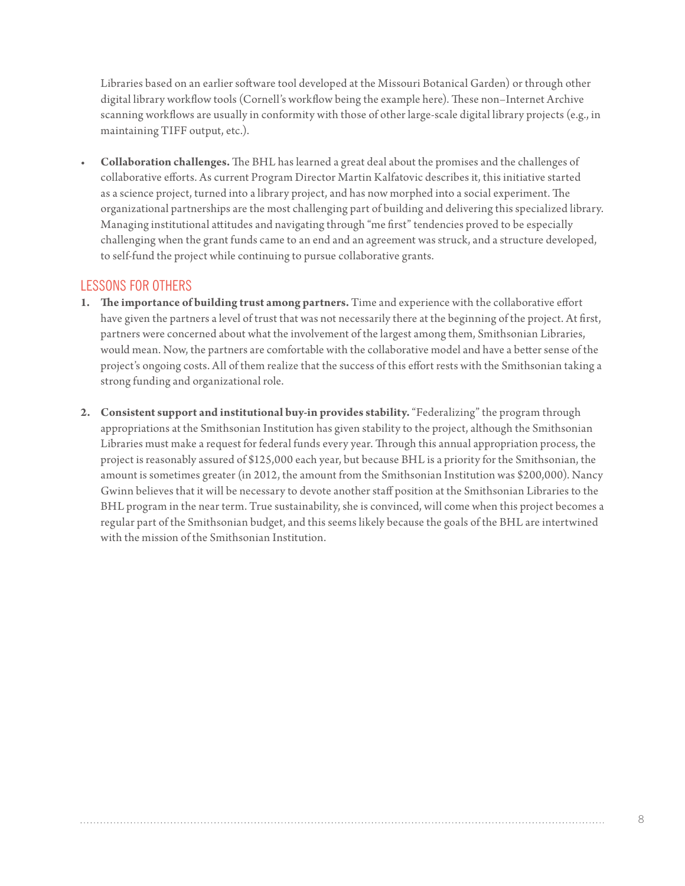Libraries based on an earlier software tool developed at the Missouri Botanical Garden) or through other digital library workflow tools (Cornell's workflow being the example here). These non–Internet Archive scanning workflows are usually in conformity with those of other large-scale digital library projects (e.g., in maintaining TIFF output, etc.).

• **Collaboration challenges.** The BHL has learned a great deal about the promises and the challenges of collaborative efforts. As current Program Director Martin Kalfatovic describes it, this initiative started as a science project, turned into a library project, and has now morphed into a social experiment. The organizational partnerships are the most challenging part of building and delivering this specialized library. Managing institutional attitudes and navigating through "me first" tendencies proved to be especially challenging when the grant funds came to an end and an agreement was struck, and a structure developed, to self-fund the project while continuing to pursue collaborative grants.

# LESSONS FOR OTHERS

- **1. The importance of building trust among partners.** Time and experience with the collaborative effort have given the partners a level of trust that was not necessarily there at the beginning of the project. At first, partners were concerned about what the involvement of the largest among them, Smithsonian Libraries, would mean. Now, the partners are comfortable with the collaborative model and have a better sense of the project's ongoing costs. All of them realize that the success of this effort rests with the Smithsonian taking a strong funding and organizational role.
- **2. Consistent support and institutional buy-in provides stability.** "Federalizing" the program through appropriations at the Smithsonian Institution has given stability to the project, although the Smithsonian Libraries must make a request for federal funds every year. Through this annual appropriation process, the project is reasonably assured of \$125,000 each year, but because BHL is a priority for the Smithsonian, the amount is sometimes greater (in 2012, the amount from the Smithsonian Institution was \$200,000). Nancy Gwinn believes that it will be necessary to devote another staff position at the Smithsonian Libraries to the BHL program in the near term. True sustainability, she is convinced, will come when this project becomes a regular part of the Smithsonian budget, and this seems likely because the goals of the BHL are intertwined with the mission of the Smithsonian Institution.